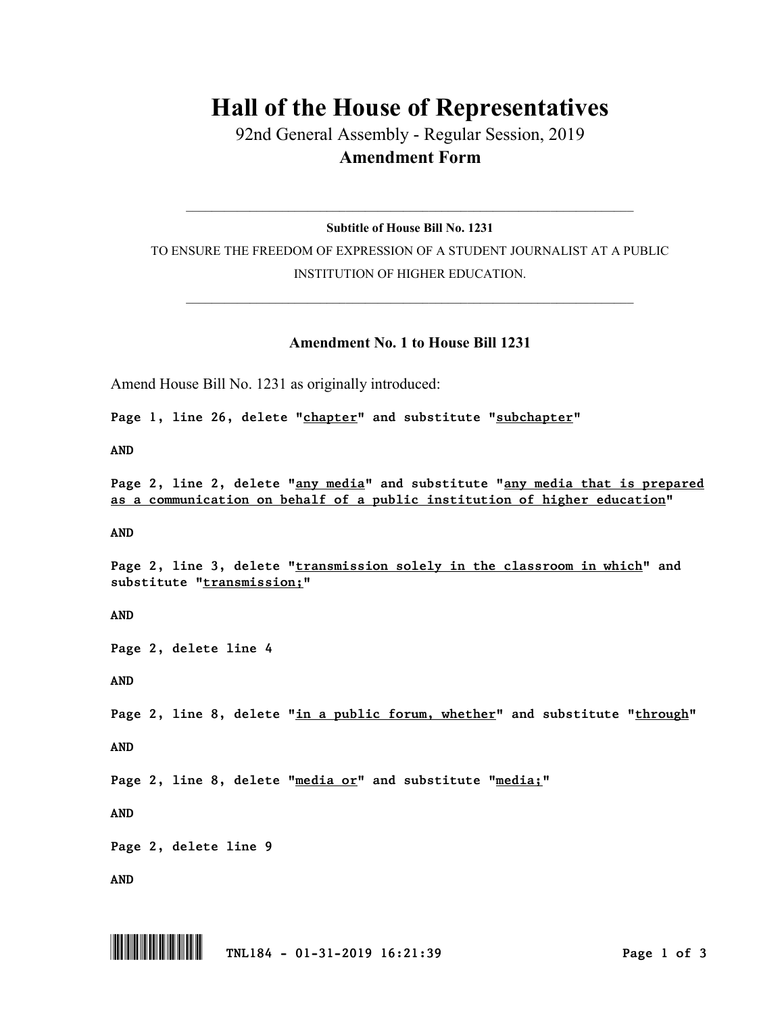## **Hall of the House of Representatives**

92nd General Assembly - Regular Session, 2019 **Amendment Form**

 $\_$  , and the set of the set of the set of the set of the set of the set of the set of the set of the set of the set of the set of the set of the set of the set of the set of the set of the set of the set of the set of th **Subtitle of House Bill No. 1231**

TO ENSURE THE FREEDOM OF EXPRESSION OF A STUDENT JOURNALIST AT A PUBLIC INSTITUTION OF HIGHER EDUCATION.

 $\_$  , and the set of the set of the set of the set of the set of the set of the set of the set of the set of the set of the set of the set of the set of the set of the set of the set of the set of the set of the set of th

## **Amendment No. 1 to House Bill 1231**

Amend House Bill No. 1231 as originally introduced:

*Page 1, line 26, delete "chapter" and substitute "subchapter"*

*AND*

*Page 2, line 2, delete "any media" and substitute "any media that is prepared as a communication on behalf of a public institution of higher education"*

*AND*

*Page 2, line 3, delete "transmission solely in the classroom in which" and substitute "transmission;"*

*AND*

*Page 2, delete line 4*

*AND*

*Page 2, line 8, delete "in a public forum, whether" and substitute "through"*

*AND*

*Page 2, line 8, delete "media or" and substitute "media;"*

*AND*

*Page 2, delete line 9*

*AND*

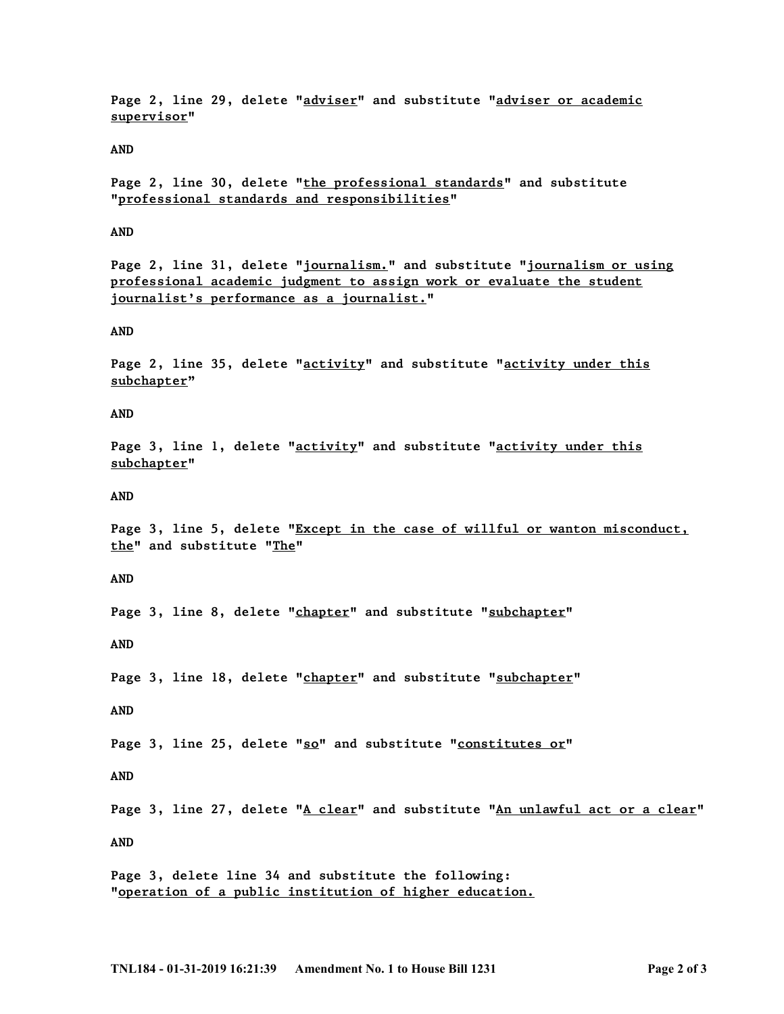*Page 2, line 29, delete "adviser" and substitute "adviser or academic supervisor"*

*AND*

*Page 2, line 30, delete "the professional standards" and substitute "professional standards and responsibilities"*

*AND*

*Page 2, line 31, delete "journalism." and substitute "journalism or using professional academic judgment to assign work or evaluate the student journalist's performance as a journalist."*

*AND*

*Page 2, line 35, delete "activity" and substitute "activity under this subchapter"*

*AND*

*Page 3, line 1, delete "activity" and substitute "activity under this subchapter"*

*AND*

*Page 3, line 5, delete "Except in the case of willful or wanton misconduct, the" and substitute "The"*

*AND*

*Page 3, line 8, delete "chapter" and substitute "subchapter"*

*AND*

*Page 3, line 18, delete "chapter" and substitute "subchapter"*

*AND*

*Page 3, line 25, delete "so" and substitute "constitutes or"*

*AND*

Page 3, line 27, delete "A clear" and substitute "An unlawful act or a clear"

*AND*

*Page 3, delete line 34 and substitute the following: "operation of a public institution of higher education.*